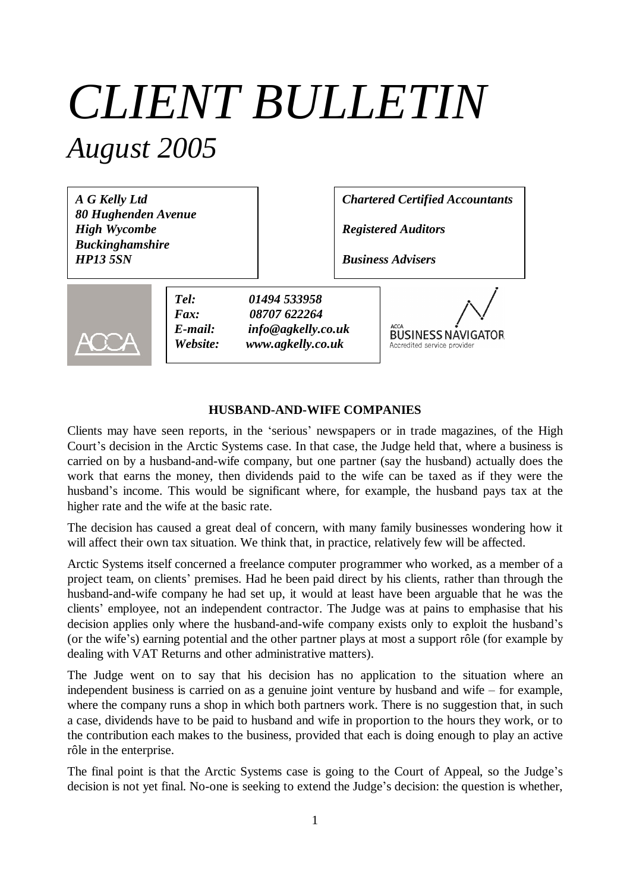# *CLIENT BULLETIN August 2005*

*A G Kelly Ltd 80 Hughenden Avenue High Wycombe Buckinghamshire HP13 5SN*

*Chartered Certified Accountants*

*Registered Auditors*

*Business Advisers*



*Tel: 01494 533958 Fax: 08707 622264 E-mail: info@agkelly.co.uk Website: www.agkelly.co.uk*

**BUSINESS NAVIGATOR** Accredited service provide

#### **HUSBAND-AND-WIFE COMPANIES**

Clients may have seen reports, in the 'serious' newspapers or in trade magazines, of the High Court's decision in the Arctic Systems case. In that case, the Judge held that, where a business is carried on by a husband-and-wife company, but one partner (say the husband) actually does the work that earns the money, then dividends paid to the wife can be taxed as if they were the husband's income. This would be significant where, for example, the husband pays tax at the higher rate and the wife at the basic rate.

The decision has caused a great deal of concern, with many family businesses wondering how it will affect their own tax situation. We think that, in practice, relatively few will be affected.

Arctic Systems itself concerned a freelance computer programmer who worked, as a member of a project team, on clients' premises. Had he been paid direct by his clients, rather than through the husband-and-wife company he had set up, it would at least have been arguable that he was the clients' employee, not an independent contractor. The Judge was at pains to emphasise that his decision applies only where the husband-and-wife company exists only to exploit the husband's (or the wife's) earning potential and the other partner plays at most a support rôle (for example by dealing with VAT Returns and other administrative matters).

The Judge went on to say that his decision has no application to the situation where an independent business is carried on as a genuine joint venture by husband and wife – for example, where the company runs a shop in which both partners work. There is no suggestion that, in such a case, dividends have to be paid to husband and wife in proportion to the hours they work, or to the contribution each makes to the business, provided that each is doing enough to play an active rôle in the enterprise.

The final point is that the Arctic Systems case is going to the Court of Appeal, so the Judge's decision is not yet final. No-one is seeking to extend the Judge's decision: the question is whether,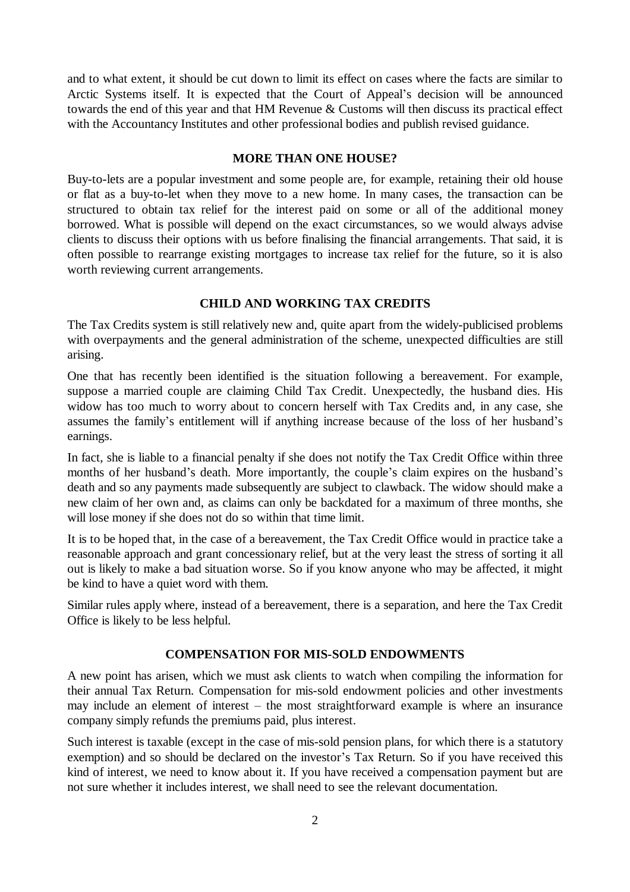and to what extent, it should be cut down to limit its effect on cases where the facts are similar to Arctic Systems itself. It is expected that the Court of Appeal's decision will be announced towards the end of this year and that HM Revenue & Customs will then discuss its practical effect with the Accountancy Institutes and other professional bodies and publish revised guidance.

#### **MORE THAN ONE HOUSE?**

Buy-to-lets are a popular investment and some people are, for example, retaining their old house or flat as a buy-to-let when they move to a new home. In many cases, the transaction can be structured to obtain tax relief for the interest paid on some or all of the additional money borrowed. What is possible will depend on the exact circumstances, so we would always advise clients to discuss their options with us before finalising the financial arrangements. That said, it is often possible to rearrange existing mortgages to increase tax relief for the future, so it is also worth reviewing current arrangements.

#### **CHILD AND WORKING TAX CREDITS**

The Tax Credits system is still relatively new and, quite apart from the widely-publicised problems with overpayments and the general administration of the scheme, unexpected difficulties are still arising.

One that has recently been identified is the situation following a bereavement. For example, suppose a married couple are claiming Child Tax Credit. Unexpectedly, the husband dies. His widow has too much to worry about to concern herself with Tax Credits and, in any case, she assumes the family's entitlement will if anything increase because of the loss of her husband's earnings.

In fact, she is liable to a financial penalty if she does not notify the Tax Credit Office within three months of her husband's death. More importantly, the couple's claim expires on the husband's death and so any payments made subsequently are subject to clawback. The widow should make a new claim of her own and, as claims can only be backdated for a maximum of three months, she will lose money if she does not do so within that time limit.

It is to be hoped that, in the case of a bereavement, the Tax Credit Office would in practice take a reasonable approach and grant concessionary relief, but at the very least the stress of sorting it all out is likely to make a bad situation worse. So if you know anyone who may be affected, it might be kind to have a quiet word with them.

Similar rules apply where, instead of a bereavement, there is a separation, and here the Tax Credit Office is likely to be less helpful.

## **COMPENSATION FOR MIS-SOLD ENDOWMENTS**

A new point has arisen, which we must ask clients to watch when compiling the information for their annual Tax Return. Compensation for mis-sold endowment policies and other investments may include an element of interest – the most straightforward example is where an insurance company simply refunds the premiums paid, plus interest.

Such interest is taxable (except in the case of mis-sold pension plans, for which there is a statutory exemption) and so should be declared on the investor's Tax Return. So if you have received this kind of interest, we need to know about it. If you have received a compensation payment but are not sure whether it includes interest, we shall need to see the relevant documentation.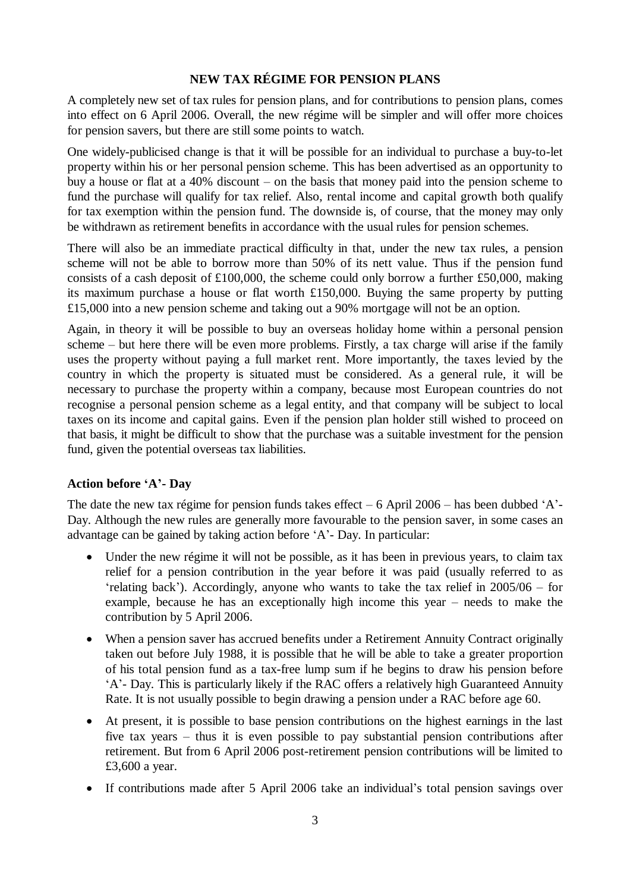## **NEW TAX RÉGIME FOR PENSION PLANS**

A completely new set of tax rules for pension plans, and for contributions to pension plans, comes into effect on 6 April 2006. Overall, the new régime will be simpler and will offer more choices for pension savers, but there are still some points to watch.

One widely-publicised change is that it will be possible for an individual to purchase a buy-to-let property within his or her personal pension scheme. This has been advertised as an opportunity to buy a house or flat at a 40% discount – on the basis that money paid into the pension scheme to fund the purchase will qualify for tax relief. Also, rental income and capital growth both qualify for tax exemption within the pension fund. The downside is, of course, that the money may only be withdrawn as retirement benefits in accordance with the usual rules for pension schemes.

There will also be an immediate practical difficulty in that, under the new tax rules, a pension scheme will not be able to borrow more than 50% of its nett value. Thus if the pension fund consists of a cash deposit of £100,000, the scheme could only borrow a further £50,000, making its maximum purchase a house or flat worth £150,000. Buying the same property by putting £15,000 into a new pension scheme and taking out a 90% mortgage will not be an option.

Again, in theory it will be possible to buy an overseas holiday home within a personal pension scheme – but here there will be even more problems. Firstly, a tax charge will arise if the family uses the property without paying a full market rent. More importantly, the taxes levied by the country in which the property is situated must be considered. As a general rule, it will be necessary to purchase the property within a company, because most European countries do not recognise a personal pension scheme as a legal entity, and that company will be subject to local taxes on its income and capital gains. Even if the pension plan holder still wished to proceed on that basis, it might be difficult to show that the purchase was a suitable investment for the pension fund, given the potential overseas tax liabilities.

## **Action before 'A'- Day**

The date the new tax régime for pension funds takes effect  $-6$  April 2006 – has been dubbed 'A'-Day. Although the new rules are generally more favourable to the pension saver, in some cases an advantage can be gained by taking action before 'A'- Day. In particular:

- Under the new régime it will not be possible, as it has been in previous years, to claim tax relief for a pension contribution in the year before it was paid (usually referred to as 'relating back'). Accordingly, anyone who wants to take the tax relief in 2005/06 – for example, because he has an exceptionally high income this year – needs to make the contribution by 5 April 2006.
- When a pension saver has accrued benefits under a Retirement Annuity Contract originally taken out before July 1988, it is possible that he will be able to take a greater proportion of his total pension fund as a tax-free lump sum if he begins to draw his pension before 'A'- Day. This is particularly likely if the RAC offers a relatively high Guaranteed Annuity Rate. It is not usually possible to begin drawing a pension under a RAC before age 60.
- At present, it is possible to base pension contributions on the highest earnings in the last five tax years – thus it is even possible to pay substantial pension contributions after retirement. But from 6 April 2006 post-retirement pension contributions will be limited to £3,600 a year.
- If contributions made after 5 April 2006 take an individual's total pension savings over